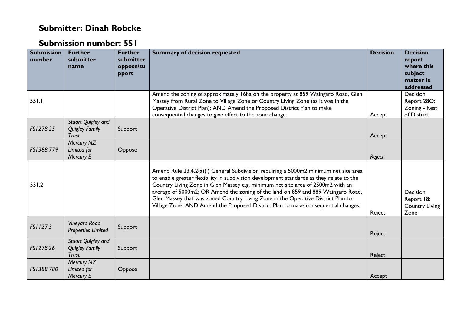## **Submitter: Dinah Robcke**

## **Submission number: 551**

| <b>Submission</b><br>number | <b>Further</b><br>submitter<br>name                         | <b>Further</b><br>submitter<br>oppose/su<br>pport | <b>Summary of decision requested</b>                                                                                                                                                                                                                                                                                                                                                                                                                                                                                             | <b>Decision</b> | <b>Decision</b><br>report<br>where this<br>subject<br>matter is<br>addressed |
|-----------------------------|-------------------------------------------------------------|---------------------------------------------------|----------------------------------------------------------------------------------------------------------------------------------------------------------------------------------------------------------------------------------------------------------------------------------------------------------------------------------------------------------------------------------------------------------------------------------------------------------------------------------------------------------------------------------|-----------------|------------------------------------------------------------------------------|
| 551.1                       |                                                             |                                                   | Amend the zoning of approximately 16ha on the property at 859 Waingaro Road, Glen<br>Massey from Rural Zone to Village Zone or Country Living Zone (as it was in the<br>Operative District Plan); AND Amend the Proposed District Plan to make<br>consequential changes to give effect to the zone change.                                                                                                                                                                                                                       | Accept          | Decision<br>Report 28O:<br>Zoning - Rest<br>of District                      |
| FS1278.25                   | Stuart Quigley and<br><b>Quigley Family</b><br><b>Trust</b> | Support                                           |                                                                                                                                                                                                                                                                                                                                                                                                                                                                                                                                  | Accept          |                                                                              |
| FS1388.779                  | Mercury NZ<br>Limited for<br>Mercury E                      | Oppose                                            |                                                                                                                                                                                                                                                                                                                                                                                                                                                                                                                                  | Reject          |                                                                              |
| 551.2                       |                                                             |                                                   | Amend Rule 23.4.2(a)(i) General Subdivision requiring a 5000m2 minimum net site area<br>to enable greater flexibility in subdivision development standards as they relate to the<br>Country Living Zone in Glen Massey e.g. minimum net site area of 2500m2 with an<br>average of 5000m2; OR Amend the zoning of the land on 859 and 889 Waingaro Road,<br>Glen Massey that was zoned Country Living Zone in the Operative District Plan to<br>Village Zone; AND Amend the Proposed District Plan to make consequential changes. | Reject          | Decision<br>Report 18:<br><b>Country Living</b><br>Zone                      |
| FS1127.3                    | <b>Vineyard Road</b><br><b>Properties Limited</b>           | Support                                           |                                                                                                                                                                                                                                                                                                                                                                                                                                                                                                                                  | Reject          |                                                                              |
| FS1278.26                   | Stuart Quigley and<br><b>Quigley Family</b><br><b>Trust</b> | Support                                           |                                                                                                                                                                                                                                                                                                                                                                                                                                                                                                                                  | Reject          |                                                                              |
| FS1388.780                  | Mercury NZ<br>Limited for<br>Mercury E                      | Oppose                                            |                                                                                                                                                                                                                                                                                                                                                                                                                                                                                                                                  | Accept          |                                                                              |